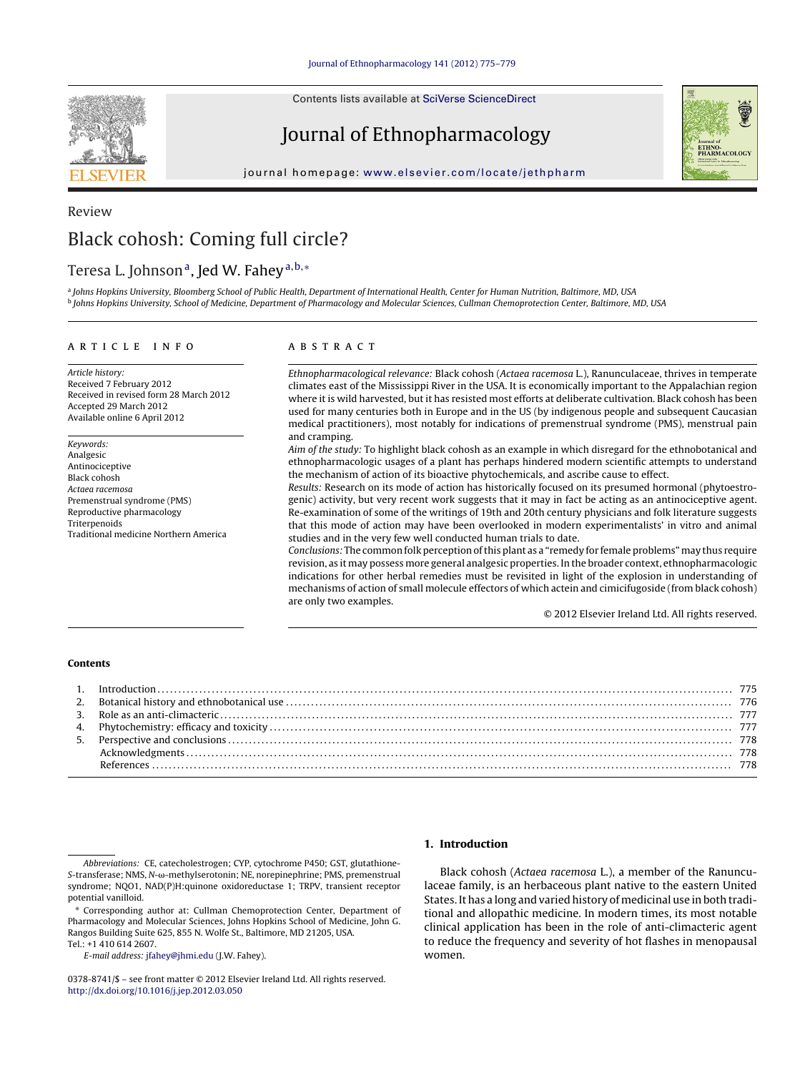Contents lists available at SciVerse [ScienceDirect](http://www.sciencedirect.com/science/journal/03788741)

## Journal of Ethnopharmacology



journal hom epage: [www.elsevier.com/locate/jethpharm](http://www.elsevier.com/locate/jethpharm)

# Black cohosh: Coming full circle?

### Teresa L. Johnson<sup>a</sup>, Jed W. Fahey<sup>a,b,∗</sup>

<sup>a</sup> Johns Hopkins University, Bloomberg School of Public Health, Department of International Health, Center for Human Nutrition, Baltimore, MD, USA b Johns Hopkins University, School of Medicine, Department of Pharmacology and Molecular Sciences, Cullman Chemoprotection Center, Baltimore, MD, USA

#### a r t i c l e i n f o

Article history: Received 7 February 2012 Received in revised form 28 March 2012 Accepted 29 March 2012 Available online 6 April 2012

Keywords: Analgesic Antinociceptive Black cohosh Actaea racemosa Premenstrual syndrome (PMS) Reproductive pharmacology **Triterpenoids** Traditional medicine Northern America

#### A B S T R A C T

Ethnopharmacological relevance: Black cohosh (Actaea racemosa L.), Ranunculaceae, thrives in temperate climates east of the Mississippi River in the USA. It is economically important to the Appalachian region where it is wild harvested, but it has resisted most efforts at deliberate cultivation. Black cohosh has been used for many centuries both in Europe and in the US (by indigenous people and subsequent Caucasian medical practitioners), most notably for indications of premenstrual syndrome (PMS), menstrual pain and cramping.

Aim of the study: To highlight black cohosh as an example in which disregard for the ethnobotanical and ethnopharmacologic usages of a plant has perhaps hindered modern scientific attempts to understand the mechanism of action of its bioactive phytochemicals, and ascribe cause to effect.

Results: Research on its mode of action has historically focused on its presumed hormonal (phytoestrogenic) activity, but very recent work suggests that it may in fact be acting as an antinociceptive agent. Re-examination of some of the writings of 19th and 20th century physicians and folk literature suggests that this mode of action may have been overlooked in modern experimentalists' in vitro and animal studies and in the very few well conducted human trials to date.

Conclusions: The common folk perception ofthis plant as a "remedy for female problems"may thus require revision, as it may possess more general analgesic properties. In the broader context, ethnopharmacologic indications for other herbal remedies must be revisited in light of the explosion in understanding of mechanisms of action of small molecule effectors of which actein and cimicifugoside (from black cohosh) are only two examples.

© 2012 Elsevier Ireland Ltd. All rights reserved.

#### **Contents**

|--|--|--|

E-mail address: [jfahey@jhmi.edu](mailto:jfahey@jhmi.edu) (J.W. Fahey).

0378-8741/\$ – see front matter © 2012 Elsevier Ireland Ltd. All rights reserved. [http://dx.doi.org/10.1016/j.jep.2012.03.050](dx.doi.org/10.1016/j.jep.2012.03.050)

#### **1. Introduction**

Black cohosh (Actaea racemosa L.), a member of the Ranunculaceae family, is an herbaceous plant native to the eastern United States. It has a long and varied history of medicinal use in both traditional and allopathic medicine. In modern times, its most notable clinical application has been in the role of anti-climacteric agent to reduce the frequency and severity of hot flashes in menopausal women.



Review

Abbreviations: CE, catecholestrogen; CYP, cytochrome P450; GST, glutathione-S-transferase; NMS, N-w-methylserotonin; NE, norepinephrine; PMS, premenstrual syndrome; NQO1, NAD(P)H:quinone oxidoreductase 1; TRPV, transient receptor potential vanilloid.

Corresponding author at: Cullman Chemoprotection Center, Department of Pharmacology and Molecular Sciences, Johns Hopkins School of Medicine, John G. Rangos Building Suite 625, 855 N. Wolfe St., Baltimore, MD 21205, USA. Tel.: +1 410 614 2607.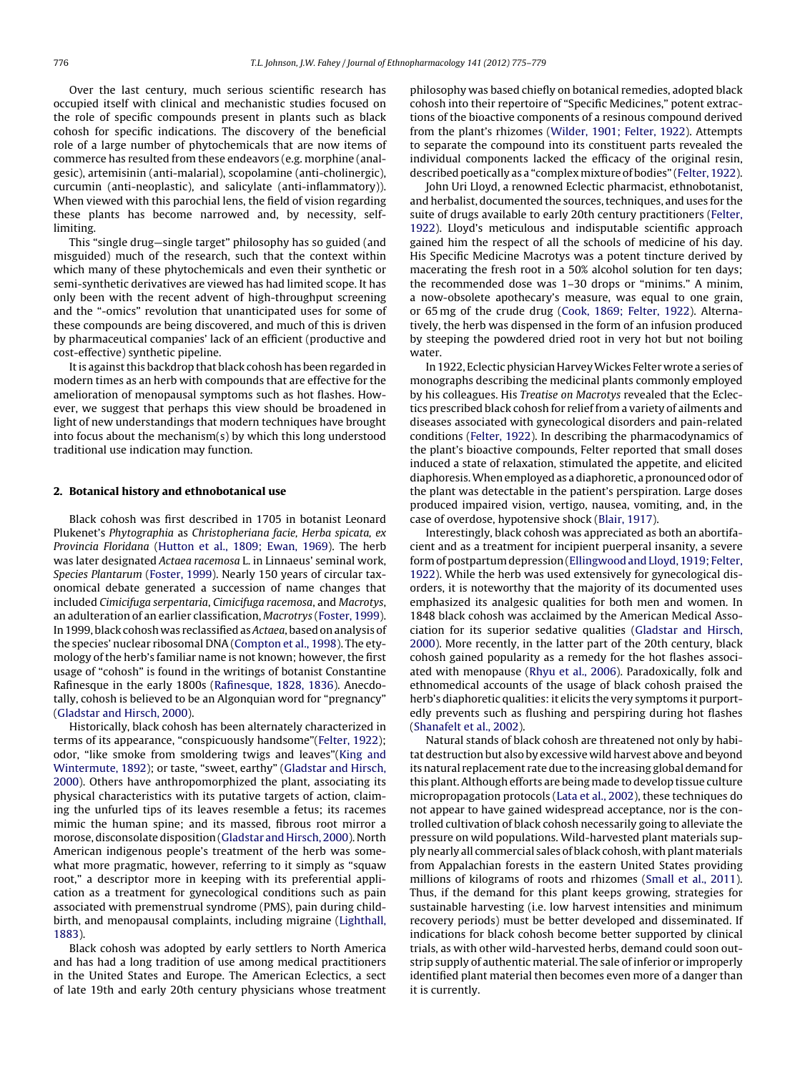Over the last century, much serious scientific research has occupied itself with clinical and mechanistic studies focused on the role of specific compounds present in plants such as black cohosh for specific indications. The discovery of the beneficial role of a large number of phytochemicals that are now items of commerce has resulted from these endeavors (e.g. morphine (analgesic), artemisinin (anti-malarial), scopolamine (anti-cholinergic), curcumin (anti-neoplastic), and salicylate (anti-inflammatory)). When viewed with this parochial lens, the field of vision regarding these plants has become narrowed and, by necessity, selflimiting.

This "single drug—single target" philosophy has so guided (and misguided) much of the research, such that the context within which many of these phytochemicals and even their synthetic or semi-synthetic derivatives are viewed has had limited scope. It has only been with the recent advent of high-throughput screening and the "-omics" revolution that unanticipated uses for some of these compounds are being discovered, and much of this is driven by pharmaceutical companies' lack of an efficient (productive and cost-effective) synthetic pipeline.

It is against this backdrop that black cohosh has been regarded in modern times as an herb with compounds that are effective for the amelioration of menopausal symptoms such as hot flashes. However, we suggest that perhaps this view should be broadened in light of new understandings that modern techniques have brought into focus about the mechanism(s) by which this long understood traditional use indication may function.

#### **2. Botanical history and ethnobotanical use**

Black cohosh was first described in 1705 in botanist Leonard Plukenet's Phytographia as Christopheriana facie, Herba spicata, ex Provincia Floridana [\(Hutton](#page-3-0) et [al.,](#page-3-0) [1809;](#page-3-0) [Ewan,](#page-3-0) [1969\).](#page-3-0) The herb was later designated Actaea racemosa L. in Linnaeus' seminal work, Species Plantarum ([Foster,](#page-3-0) [1999\).](#page-3-0) Nearly 150 years of circular taxonomical debate generated a succession of name changes that included Cimicifuga serpentaria, Cimicifuga racemosa, and Macrotys, an adulteration of an earlier classification, Macrotrys [\(Foster,](#page-3-0) [1999\).](#page-3-0) In 1999, black cohosh was reclassified as Actaea, based on analysis of the species' nuclear ribosomal DNA ([Compton](#page-3-0) et [al.,](#page-3-0) [1998\).](#page-3-0) The etymology of the herb's familiar name is not known; however, the first usage of "cohosh" is found in the writings of botanist Constantine Rafinesque in the early 1800s ([Rafinesque,](#page-4-0) [1828,](#page-4-0) [1836\).](#page-4-0) Anecdotally, cohosh is believed to be an Algonquian word for "pregnancy" ([Gladstar](#page-3-0) [and](#page-3-0) [Hirsch,](#page-3-0) [2000\).](#page-3-0)

Historically, black cohosh has been alternately characterized in terms of its appearance, "conspicuously handsome"[\(Felter,](#page-3-0) [1922\);](#page-3-0) odor, "like smoke from smoldering twigs and leaves"[\(King](#page-4-0) [and](#page-4-0) [Wintermute,](#page-4-0) [1892\);](#page-4-0) or taste, "sweet, earthy" [\(Gladstar](#page-3-0) [and](#page-3-0) [Hirsch,](#page-3-0) [2000\).](#page-3-0) Others have anthropomorphized the plant, associating its physical characteristics with its putative targets of action, claiming the unfurled tips of its leaves resemble a fetus; its racemes mimic the human spine; and its massed, fibrous root mirror a morose, disconsolate disposition ([Gladstar](#page-3-0) [and](#page-3-0) [Hirsch,](#page-3-0) [2000\).](#page-3-0) North American indigenous people's treatment of the herb was somewhat more pragmatic, however, referring to it simply as "squaw root," a descriptor more in keeping with its preferential application as a treatment for gynecological conditions such as pain associated with premenstrual syndrome (PMS), pain during childbirth, and menopausal complaints, including migraine [\(Lighthall,](#page-4-0) [1883\).](#page-4-0)

Black cohosh was adopted by early settlers to North America and has had a long tradition of use among medical practitioners in the United States and Europe. The American Eclectics, a sect of late 19th and early 20th century physicians whose treatment

philosophy was based chiefly on botanical remedies, adopted black cohosh into their repertoire of "Specific Medicines," potent extractions of the bioactive components of a resinous compound derived from the plant's rhizomes ([Wilder,](#page-4-0) [1901;](#page-4-0) [Felter,](#page-4-0) [1922\).](#page-4-0) Attempts to separate the compound into its constituent parts revealed the individual components lacked the efficacy of the original resin, described poetically as a "complex mixture of bodies" ([Felter,](#page-3-0) [1922\).](#page-3-0)

John Uri Lloyd, a renowned Eclectic pharmacist, ethnobotanist, and herbalist, documented the sources, techniques, and uses for the suite of drugs available to early 20th century practitioners [\(Felter,](#page-3-0) [1922\).](#page-3-0) Lloyd's meticulous and indisputable scientific approach gained him the respect of all the schools of medicine of his day. His Specific Medicine Macrotys was a potent tincture derived by macerating the fresh root in a 50% alcohol solution for ten days; the recommended dose was 1–30 drops or "minims." A minim, a now-obsolete apothecary's measure, was equal to one grain, or 65 mg of the crude drug [\(Cook,](#page-3-0) [1869;](#page-3-0) [Felter,](#page-3-0) [1922\).](#page-3-0) Alternatively, the herb was dispensed in the form of an infusion produced by steeping the powdered dried root in very hot but not boiling water.

In 1922, Eclectic physician Harvey Wickes Felter wrote a series of monographs describing the medicinal plants commonly employed by his colleagues. His Treatise on Macrotys revealed that the Eclectics prescribed black cohosh for relief from a variety of ailments and diseases associated with gynecological disorders and pain-related conditions [\(Felter,](#page-3-0) [1922\).](#page-3-0) In describing the pharmacodynamics of the plant's bioactive compounds, Felter reported that small doses induced a state of relaxation, stimulated the appetite, and elicited diaphoresis. When employed as a diaphoretic, a pronounced odor of the plant was detectable in the patient's perspiration. Large doses produced impaired vision, vertigo, nausea, vomiting, and, in the case of overdose, hypotensive shock ([Blair,](#page-3-0) [1917\).](#page-3-0)

Interestingly, black cohosh was appreciated as both an abortifacient and as a treatment for incipient puerperal insanity, a severe form of postpartum depression ([Ellingwood](#page-3-0) [and](#page-3-0) [Lloyd,](#page-3-0) [1919;](#page-3-0) [Felter,](#page-3-0) [1922\).](#page-3-0) While the herb was used extensively for gynecological disorders, it is noteworthy that the majority of its documented uses emphasized its analgesic qualities for both men and women. In 1848 black cohosh was acclaimed by the American Medical Association for its superior sedative qualities ([Gladstar](#page-3-0) [and](#page-3-0) [Hirsch,](#page-3-0) [2000\).](#page-3-0) More recently, in the latter part of the 20th century, black cohosh gained popularity as a remedy for the hot flashes associated with menopause ([Rhyu](#page-4-0) et [al.,](#page-4-0) [2006\).](#page-4-0) Paradoxically, folk and ethnomedical accounts of the usage of black cohosh praised the herb's diaphoretic qualities: it elicits the very symptoms it purportedly prevents such as flushing and perspiring during hot flashes [\(Shanafelt](#page-4-0) et [al.,](#page-4-0) [2002\).](#page-4-0)

Natural stands of black cohosh are threatened not only by habitat destruction but also by excessive wild harvest above and beyond its natural replacement rate due to the increasing global demand for this plant.Although efforts are being made to develop tissue culture micropropagation protocols [\(Lata](#page-4-0) et [al.,](#page-4-0) [2002\),](#page-4-0) these techniques do not appear to have gained widespread acceptance, nor is the controlled cultivation of black cohosh necessarily going to alleviate the pressure on wild populations. Wild-harvested plant materials supply nearly all commercial sales of black cohosh, with plantmaterials from Appalachian forests in the eastern United States providing millions of kilograms of roots and rhizomes ([Small](#page-4-0) et [al.,](#page-4-0) [2011\).](#page-4-0) Thus, if the demand for this plant keeps growing, strategies for sustainable harvesting (i.e. low harvest intensities and minimum recovery periods) must be better developed and disseminated. If indications for black cohosh become better supported by clinical trials, as with other wild-harvested herbs, demand could soon outstrip supply of authentic material. The sale of inferior or improperly identified plant material then becomes even more of a danger than it is currently.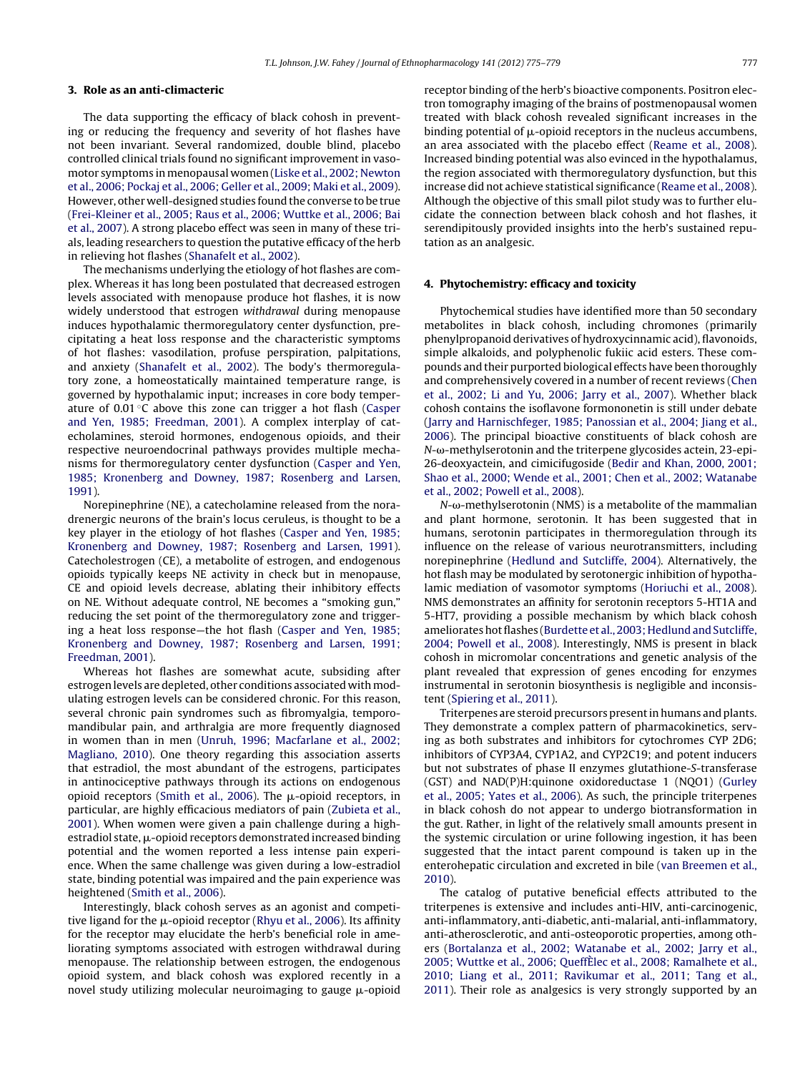#### **3. Role as an anti-climacteric**

The data supporting the efficacy of black cohosh in preventing or reducing the frequency and severity of hot flashes have not been invariant. Several randomized, double blind, placebo controlled clinical trials found no significant improvement in vasomotor symptoms in menopausal women [\(Liske](#page-4-0) et [al.,](#page-4-0) [2002;](#page-4-0) [Newton](#page-4-0) et [al.,](#page-4-0) [2006;](#page-4-0) [Pockaj](#page-4-0) et [al.,](#page-4-0) [2006;](#page-4-0) [Geller](#page-4-0) et [al.,](#page-4-0) [2009;](#page-4-0) [Maki](#page-4-0) et [al.,](#page-4-0) [2009\).](#page-4-0) However, other well-designed studies found the converse to be true ([Frei-Kleiner](#page-3-0) et [al.,](#page-3-0) [2005;](#page-3-0) [Raus](#page-3-0) et [al.,](#page-3-0) [2006;](#page-3-0) [Wuttke](#page-3-0) et [al.,](#page-3-0) [2006;](#page-3-0) [Bai](#page-3-0) et [al.,](#page-3-0) [2007\).](#page-3-0) A strong placebo effect was seen in many of these trials, leading researchers to question the putative efficacy of the herb in relieving hot flashes [\(Shanafelt](#page-4-0) et [al.,](#page-4-0) [2002\).](#page-4-0)

The mechanisms underlying the etiology of hot flashes are complex. Whereas it has long been postulated that decreased estrogen levels associated with menopause produce hot flashes, it is now widely understood that estrogen withdrawal during menopause induces hypothalamic thermoregulatory center dysfunction, precipitating a heat loss response and the characteristic symptoms of hot flashes: vasodilation, profuse perspiration, palpitations, and anxiety ([Shanafelt](#page-4-0) et [al.,](#page-4-0) [2002\).](#page-4-0) The body's thermoregulatory zone, a homeostatically maintained temperature range, is governed by hypothalamic input; increases in core body temperature of  $0.01 \, \degree$ C above this zone can trigger a hot flash ([Casper](#page-3-0) [and](#page-3-0) [Yen,](#page-3-0) [1985;](#page-3-0) [Freedman,](#page-3-0) [2001\).](#page-3-0) A complex interplay of catecholamines, steroid hormones, endogenous opioids, and their respective neuroendocrinal pathways provides multiple mechanisms for thermoregulatory center dysfunction ([Casper](#page-3-0) [and](#page-3-0) [Yen,](#page-3-0) [1985;](#page-3-0) [Kronenberg](#page-3-0) [and](#page-3-0) [Downey,](#page-3-0) [1987;](#page-3-0) [Rosenberg](#page-3-0) [and](#page-3-0) [Larsen,](#page-3-0) [1991\).](#page-3-0)

Norepinephrine (NE), a catecholamine released from the noradrenergic neurons of the brain's locus ceruleus, is thought to be a key player in the etiology of hot flashes [\(Casper](#page-3-0) [and](#page-3-0) [Yen,](#page-3-0) [1985;](#page-3-0) [Kronenberg](#page-3-0) [and](#page-3-0) [Downey,](#page-3-0) [1987;](#page-3-0) [Rosenberg](#page-3-0) [and](#page-3-0) [Larsen,](#page-3-0) [1991\).](#page-3-0) Catecholestrogen (CE), a metabolite of estrogen, and endogenous opioids typically keeps NE activity in check but in menopause, CE and opioid levels decrease, ablating their inhibitory effects on NE. Without adequate control, NE becomes a "smoking gun," reducing the set point of the thermoregulatory zone and triggering a heat loss response—the hot flash [\(Casper](#page-3-0) [and](#page-3-0) [Yen,](#page-3-0) [1985;](#page-3-0) [Kronenberg](#page-3-0) [and](#page-3-0) [Downey,](#page-3-0) [1987;](#page-3-0) [Rosenberg](#page-3-0) [and](#page-3-0) [Larsen,](#page-3-0) [1991;](#page-3-0) [Freedman,](#page-3-0) [2001\).](#page-3-0)

Whereas hot flashes are somewhat acute, subsiding after estrogen levels are depleted, other conditions associated with modulating estrogen levels can be considered chronic. For this reason, several chronic pain syndromes such as fibromyalgia, temporomandibular pain, and arthralgia are more frequently diagnosed in women than in men ([Unruh,](#page-4-0) [1996;](#page-4-0) [Macfarlane](#page-4-0) et [al.,](#page-4-0) [2002;](#page-4-0) [Magliano,](#page-4-0) [2010\).](#page-4-0) One theory regarding this association asserts that estradiol, the most abundant of the estrogens, participates in antinociceptive pathways through its actions on endogenous opioid receptors ([Smith](#page-4-0) et [al.,](#page-4-0) [2006\).](#page-4-0) The  $\mu$ -opioid receptors, in particular, are highly efficacious mediators of pain [\(Zubieta](#page-4-0) et [al.,](#page-4-0) [2001\).](#page-4-0) When women were given a pain challenge during a highestradiol state,  $\mu$ -opioid receptors demonstrated increased binding potential and the women reported a less intense pain experience. When the same challenge was given during a low-estradiol state, binding potential was impaired and the pain experience was heightened [\(Smith](#page-4-0) et [al.,](#page-4-0) [2006\).](#page-4-0)

Interestingly, black cohosh serves as an agonist and competitive ligand for the  $\mu$ -opioid receptor ([Rhyu](#page-4-0) et [al.,](#page-4-0) [2006\).](#page-4-0) Its affinity for the receptor may elucidate the herb's beneficial role in ameliorating symptoms associated with estrogen withdrawal during menopause. The relationship between estrogen, the endogenous opioid system, and black cohosh was explored recently in a novel study utilizing molecular neuroimaging to gauge  $\mu$ -opioid receptor binding of the herb's bioactive components. Positron electron tomography imaging of the brains of postmenopausal women treated with black cohosh revealed significant increases in the binding potential of  $\mu$ -opioid receptors in the nucleus accumbens, an area associated with the placebo effect [\(Reame](#page-4-0) et [al.,](#page-4-0) [2008\).](#page-4-0) Increased binding potential was also evinced in the hypothalamus, the region associated with thermoregulatory dysfunction, but this increase did not achieve statistical significance [\(Reame](#page-4-0) et [al.,](#page-4-0) [2008\).](#page-4-0) Although the objective of this small pilot study was to further elucidate the connection between black cohosh and hot flashes, it serendipitously provided insights into the herb's sustained reputation as an analgesic.

#### **4. Phytochemistry: efficacy and toxicity**

Phytochemical studies have identified more than 50 secondary metabolites in black cohosh, including chromones (primarily phenylpropanoid derivatives of hydroxycinnamic acid), flavonoids, simple alkaloids, and polyphenolic fukiic acid esters. These compounds and their purported biological effects have been thoroughly and comprehensively covered in a number of recent reviews [\(Chen](#page-3-0) et [al.,](#page-3-0) [2002;](#page-3-0) [Li](#page-3-0) [and](#page-3-0) [Yu,](#page-3-0) [2006;](#page-3-0) [Jarry](#page-3-0) et [al.,](#page-3-0) [2007\).](#page-3-0) Whether black cohosh contains the isoflavone formononetin is still under debate [\(Jarry](#page-3-0) [and](#page-3-0) [Harnischfeger,](#page-3-0) [1985;](#page-3-0) [Panossian](#page-3-0) et [al.,](#page-3-0) [2004;](#page-3-0) [Jiang](#page-3-0) et [al.,](#page-3-0) [2006\).](#page-3-0) The principal bioactive constituents of black cohosh are N---methylserotonin and the triterpene glycosides actein, 23-epi-26-deoxyactein, and cimicifugoside [\(Bedir](#page-3-0) [and](#page-3-0) [Khan,](#page-3-0) [2000,](#page-3-0) [2001;](#page-3-0) [Shao](#page-3-0) et [al.,](#page-3-0) [2000;](#page-3-0) [Wende](#page-3-0) et [al.,](#page-3-0) [2001;](#page-3-0) [Chen](#page-3-0) et [al.,](#page-3-0) [2002;](#page-3-0) [Watanabe](#page-3-0) et [al.,](#page-3-0) [2002;](#page-3-0) [Powell](#page-3-0) et [al.,](#page-3-0) [2008\).](#page-3-0)

 $N$ - $\omega$ -methylserotonin (NMS) is a metabolite of the mammalian and plant hormone, serotonin. It has been suggested that in humans, serotonin participates in thermoregulation through its influence on the release of various neurotransmitters, including norepinephrine [\(Hedlund](#page-3-0) [and](#page-3-0) [Sutcliffe,](#page-3-0) [2004\).](#page-3-0) Alternatively, the hot flash may be modulated by serotonergic inhibition of hypothalamic mediation of vasomotor symptoms ([Horiuchi](#page-3-0) et [al.,](#page-3-0) [2008\).](#page-3-0) NMS demonstrates an affinity for serotonin receptors 5-HT1A and 5-HT7, providing a possible mechanism by which black cohosh ameliorates hot flashes ([Burdette](#page-3-0) et [al.,](#page-3-0) 2003; Hedlund and Sutcliffe, [2004;](#page-3-0) [Powell](#page-3-0) et [al.,](#page-3-0) [2008\).](#page-3-0) Interestingly, NMS is present in black cohosh in micromolar concentrations and genetic analysis of the plant revealed that expression of genes encoding for enzymes instrumental in serotonin biosynthesis is negligible and inconsistent ([Spiering](#page-4-0) et [al.,](#page-4-0) [2011\).](#page-4-0)

Triterpenes are steroid precursors present in humans and plants. They demonstrate a complex pattern of pharmacokinetics, serving as both substrates and inhibitors for cytochromes CYP 2D6; inhibitors of CYP3A4, CYP1A2, and CYP2C19; and potent inducers but not substrates of phase II enzymes glutathione-S-transferase (GST) and NAD(P)H:quinone oxidoreductase 1 (NQO1) [\(Gurley](#page-3-0) et [al.,](#page-3-0) [2005;](#page-3-0) [Yates](#page-3-0) et [al.,](#page-3-0) [2006\).](#page-3-0) As such, the principle triterpenes in black cohosh do not appear to undergo biotransformation in the gut. Rather, in light of the relatively small amounts present in the systemic circulation or urine following ingestion, it has been suggested that the intact parent compound is taken up in the enterohepatic circulation and excreted in bile [\(van](#page-4-0) [Breemen](#page-4-0) et [al.,](#page-4-0) [2010\).](#page-4-0)

The catalog of putative beneficial effects attributed to the triterpenes is extensive and includes anti-HIV, anti-carcinogenic, anti-inflammatory, anti-diabetic, anti-malarial, anti-inflammatory, anti-atherosclerotic, and anti-osteoporotic properties, among others [\(Bortalanza](#page-3-0) et [al.,](#page-3-0) [2002;](#page-3-0) [Watanabe](#page-3-0) et [al.,](#page-3-0) [2002;](#page-3-0) [Jarry](#page-3-0) et [al.,](#page-3-0) [2005;](#page-3-0) [Wuttke](#page-3-0) et [al.,](#page-3-0) [2006;](#page-3-0) [QueffÈlec](#page-3-0) et [al.,](#page-3-0) [2008;](#page-3-0) [Ramalhete](#page-3-0) et [al.,](#page-3-0) [2010;](#page-3-0) [Liang](#page-3-0) et [al.,](#page-3-0) [2011;](#page-3-0) [Ravikumar](#page-3-0) et [al.,](#page-3-0) [2011;](#page-3-0) [Tang](#page-3-0) et [al.,](#page-3-0) [2011\).](#page-3-0) Their role as analgesics is very strongly supported by an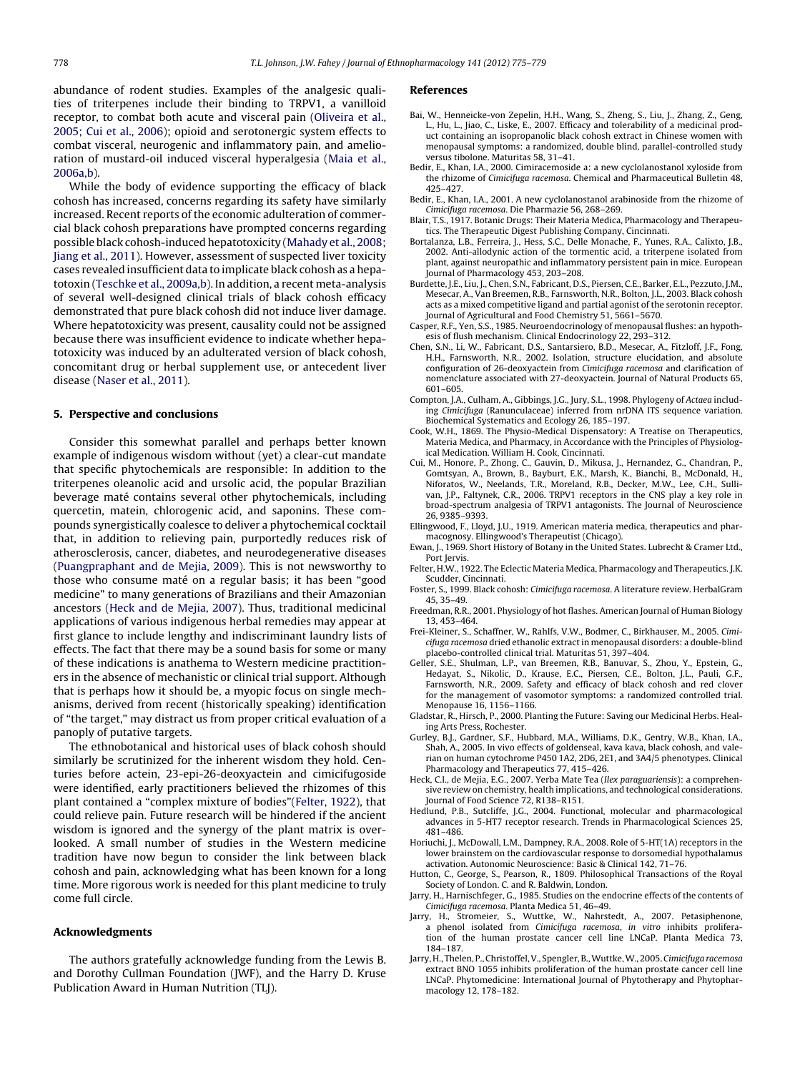<span id="page-3-0"></span>abundance of rodent studies. Examples of the analgesic qualities of triterpenes include their binding to TRPV1, a vanilloid receptor, to combat both acute and visceral pain [\(Oliveira](#page-4-0) et [al.,](#page-4-0) [2005;](#page-4-0) [Cui](#page-4-0) et [al.,](#page-4-0) [2006\);](#page-4-0) opioid and serotonergic system effects to combat visceral, neurogenic and inflammatory pain, and amelioration of mustard-oil induced visceral hyperalgesia ([Maia](#page-4-0) et [al.,](#page-4-0) [2006a,b\).](#page-4-0)

While the body of evidence supporting the efficacy of black cohosh has increased, concerns regarding its safety have similarly increased. Recent reports of the economic adulteration of commercial black cohosh preparations have prompted concerns regarding possible black cohosh-induced hepatotoxicity [\(Mahady](#page-4-0) et [al.,](#page-4-0) [2008;](#page-4-0) [Jiang](#page-4-0) et [al.,](#page-4-0) [2011\).](#page-4-0) However, assessment of suspected liver toxicity cases revealed insufficient data to implicate black cohosh as a hepatotoxin [\(Teschke](#page-4-0) et [al.,](#page-4-0) [2009a,b\).](#page-4-0) In addition, a recent meta-analysis of several well-designed clinical trials of black cohosh efficacy demonstrated that pure black cohosh did not induce liver damage. Where hepatotoxicity was present, causality could not be assigned because there was insufficient evidence to indicate whether hepatotoxicity was induced by an adulterated version of black cohosh, concomitant drug or herbal supplement use, or antecedent liver disease ([Naser](#page-4-0) et [al.,](#page-4-0) [2011\).](#page-4-0)

#### **5. Perspective and conclusions**

Consider this somewhat parallel and perhaps better known example of indigenous wisdom without (yet) a clear-cut mandate that specific phytochemicals are responsible: In addition to the triterpenes oleanolic acid and ursolic acid, the popular Brazilian beverage maté contains several other phytochemicals, including quercetin, matein, chlorogenic acid, and saponins. These compounds synergistically coalesce to deliver a phytochemical cocktail that, in addition to relieving pain, purportedly reduces risk of atherosclerosis, cancer, diabetes, and neurodegenerative diseases ([Puangpraphant](#page-4-0) [and](#page-4-0) [de](#page-4-0) [Mejia,](#page-4-0) [2009\).](#page-4-0) This is not newsworthy to those who consume maté on a regular basis; it has been "good medicine" to many generations of Brazilians and their Amazonian ancestors (Heck and de Mejia, 2007). Thus, traditional medicinal applications of various indigenous herbal remedies may appear at first glance to include lengthy and indiscriminant laundry lists of effects. The fact that there may be a sound basis for some or many of these indications is anathema to Western medicine practitioners in the absence of mechanistic or clinical trial support. Although that is perhaps how it should be, a myopic focus on single mechanisms, derived from recent (historically speaking) identification of "the target," may distract us from proper critical evaluation of a panoply of putative targets.

The ethnobotanical and historical uses of black cohosh should similarly be scrutinized for the inherent wisdom they hold. Centuries before actein, 23-epi-26-deoxyactein and cimicifugoside were identified, early practitioners believed the rhizomes of this plant contained a "complex mixture of bodies"(Felter, 1922), that could relieve pain. Future research will be hindered if the ancient wisdom is ignored and the synergy of the plant matrix is overlooked. A small number of studies in the Western medicine tradition have now begun to consider the link between black cohosh and pain, acknowledging what has been known for a long time. More rigorous work is needed for this plant medicine to truly come full circle.

#### **Acknowledgments**

The authors gratefully acknowledge funding from the Lewis B. and Dorothy Cullman Foundation (JWF), and the Harry D. Kruse Publication Award in Human Nutrition (TLJ).

#### **References**

- Bai, W., Henneicke-von Zepelin, H.H., Wang, S., Zheng, S., Liu, J., Zhang, Z., Geng, L., Hu, L., Jiao, C., Liske, E., 2007. Efficacy and tolerability of a medicinal product containing an isopropanolic black cohosh extract in Chinese women with menopausal symptoms: a randomized, double blind, parallel-controlled study versus tibolone. Maturitas 58, 31–41.
- Bedir, E., Khan, I.A., 2000. Cimiracemoside a: a new cyclolanostanol xyloside from the rhizome of Cimicifuga racemosa. Chemical and Pharmaceutical Bulletin 48, 425–427.
- Bedir, E., Khan, I.A., 2001. A new cyclolanostanol arabinoside from the rhizome of Cimicifuga racemosa. Die Pharmazie 56, 268–269.
- Blair, T.S., 1917. Botanic Drugs: Their Materia Medica, Pharmacology and Therapeutics. The Therapeutic Digest Publishing Company, Cincinnati.
- Bortalanza, L.B., Ferreira, J., Hess, S.C., Delle Monache, F., Yunes, R.A., Calixto, J.B., 2002. Anti-allodynic action of the tormentic acid, a triterpene isolated from plant, against neuropathic and inflammatory persistent pain in mice. European Journal of Pharmacology 453, 203–208.
- Burdette, J.E., Liu, J., Chen, S.N., Fabricant, D.S., Piersen, C.E., Barker, E.L., Pezzuto, J.M., Mesecar, A., Van Breemen, R.B., Farnsworth, N.R., Bolton, J.L., 2003. Black cohosh acts as a mixed competitive ligand and partial agonist of the serotonin receptor. Journal of Agricultural and Food Chemistry 51, 5661–5670.
- Casper, R.F., Yen, S.S., 1985. Neuroendocrinology of menopausal flushes: an hypothesis of flush mechanism. Clinical Endocrinology 22, 293–312.
- Chen, S.N., Li, W., Fabricant, D.S., Santarsiero, B.D., Mesecar, A., Fitzloff, J.F., Fong, H.H., Farnsworth, N.R., 2002. Isolation, structure elucidation, and absolute configuration of 26-deoxyactein from Cimicifuga racemosa and clarification of nomenclature associated with 27-deoxyactein. Journal of Natural Products 65, 601–605.
- Compton, J.A., Culham, A., Gibbings, J.G., Jury, S.L., 1998. Phylogeny of Actaea including Cimicifuga (Ranunculaceae) inferred from nrDNA ITS sequence variation. Biochemical Systematics and Ecology 26, 185–197.
- Cook, W.H., 1869. The Physio-Medical Dispensatory: A Treatise on Therapeutics, Materia Medica, and Pharmacy, in Accordance with the Principles of Physiological Medication. William H. Cook, Cincinnati.
- Cui, M., Honore, P., Zhong, C., Gauvin, D., Mikusa, J., Hernandez, G., Chandran, P., Gomtsyan, A., Brown, B., Bayburt, E.K., Marsh, K., Bianchi, B., McDonald, H., Niforatos, W., Neelands, T.R., Moreland, R.B., Decker, M.W., Lee, C.H., Sullivan, J.P., Faltynek, C.R., 2006. TRPV1 receptors in the CNS play a key role in broad-spectrum analgesia of TRPV1 antagonists. The Journal of Neuroscience 26, 9385–9393.
- Ellingwood, F., Lloyd, J.U., 1919. American materia medica, therapeutics and pharmacognosy. Ellingwood's Therapeutist (Chicago).
- Ewan, J., 1969. Short History of Botany in the United States. Lubrecht & Cramer Ltd., Port Jervis.
- Felter, H.W., 1922. The Eclectic Materia Medica, Pharmacology and Therapeutics. J.K. Scudder, Cincinnati.
- Foster, S., 1999. Black cohosh: Cimicifuga racemosa. A literature review. HerbalGram 45, 35–49.
- Freedman, R.R., 2001. Physiology of hot flashes. American Journal of Human Biology 13, 453–464.
- Frei-Kleiner, S., Schaffner, W., Rahlfs, V.W., Bodmer, C., Birkhauser, M., 2005. Cimicifuga racemosa dried ethanolic extract in menopausal disorders: a double-blind placebo-controlled clinical trial. Maturitas 51, 397–404.
- Geller, S.E., Shulman, L.P., van Breemen, R.B., Banuvar, S., Zhou, Y., Epstein, G., Hedayat, S., Nikolic, D., Krause, E.C., Piersen, C.E., Bolton, J.L., Pauli, G.F., Farnsworth, N.R., 2009. Safety and efficacy of black cohosh and red clover for the management of vasomotor symptoms: a randomized controlled trial. Menopause 16, 1156–1166.
- Gladstar, R., Hirsch, P., 2000. Planting the Future: Saving our Medicinal Herbs. Healing Arts Press, Rochester.
- Gurley, B.J., Gardner, S.F., Hubbard, M.A., Williams, D.K., Gentry, W.B., Khan, I.A., Shah, A., 2005. In vivo effects of goldenseal, kava kava, black cohosh, and valerian on human cytochrome P450 1A2, 2D6, 2E1, and 3A4/5 phenotypes. Clinical Pharmacology and Therapeutics 77, 415–426.
- Heck, C.I., de Mejia, E.G., 2007. Yerba Mate Tea (Ilex paraguariensis): a comprehensive review on chemistry, health implications, and technological considerations. Journal of Food Science 72, R138–R151.
- Hedlund, P.B., Sutcliffe, J.G., 2004. Functional, molecular and pharmacological advances in 5-HT7 receptor research. Trends in Pharmacological Sciences 25, 481–486.
- Horiuchi, J., McDowall, L.M., Dampney, R.A., 2008. Role of 5-HT(1A) receptors in the lower brainstem on the cardiovascular response to dorsomedial hypothalamus activation. Autonomic Neuroscience: Basic & Clinical 142, 71–76.
- Hutton, C., George, S., Pearson, R., 1809. Philosophical Transactions of the Royal Society of London. C. and R. Baldwin, London.
- Jarry, H., Harnischfeger, G., 1985. Studies on the endocrine effects of the contents of Cimicifuga racemosa. Planta Medica 51, 46–49.
- Jarry, H., Stromeier, S., Wuttke, W., Nahrstedt, A., 2007. Petasiphenone, phenol isolated from Cimicifuga racemosa, in vitro inhibits proliferation of the human prostate cancer cell line LNCaP. Planta Medica 73, 184–187.
- Jarry,H., Thelen, P.,Christoffel,V., Spengler,B.,Wuttke,W., 2005. Cimicifuga racemosa extract BNO 1055 inhibits proliferation of the human prostate cancer cell line LNCaP. Phytomedicine: International Journal of Phytotherapy and Phytopharmacology 12, 178–182.